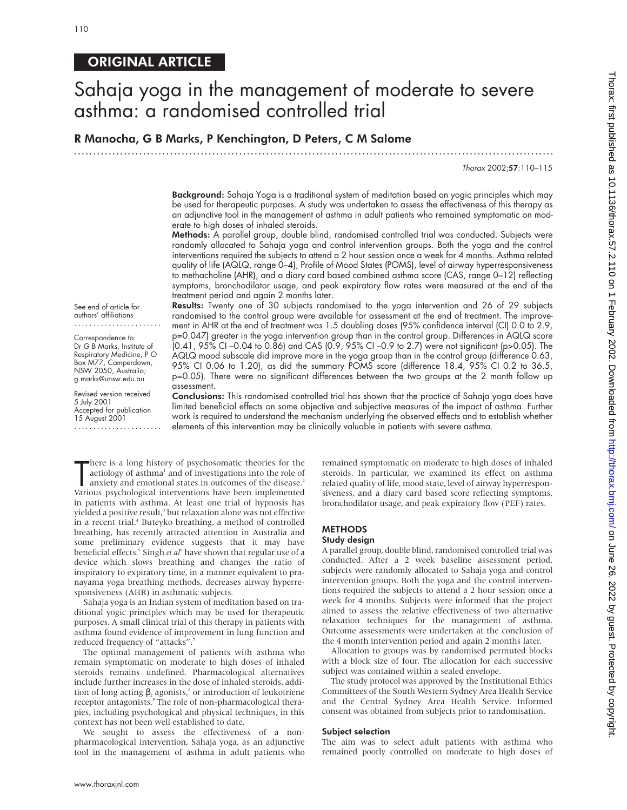# ORIGINAL ARTICLE

# Sahaja yoga in the management of moderate to severe asthma: a randomised controlled trial

R Manocha, G B Marks, P Kenchington, D Peters, C M Salome

.............................................................................................................................

Thorax 2002;57:110–115

Background: Sahaja Yoga is a traditional system of meditation based on yogic principles which may be used for therapeutic purposes. A study was undertaken to assess the effectiveness of this therapy as an adjunctive tool in the management of asthma in adult patients who remained symptomatic on moderate to high doses of inhaled steroids.

Methods: A parallel group, double blind, randomised controlled trial was conducted. Subjects were randomly allocated to Sahaja yoga and control intervention groups. Both the yoga and the control interventions required the subjects to attend a 2 hour session once a week for 4 months. Asthma related quality of life (AQLQ, range 0–4), Profile of Mood States (POMS), level of airway hyperresponsiveness to methacholine (AHR), and a diary card based combined asthma score (CAS, range 0–12) reflecting symptoms, bronchodilator usage, and peak expiratory flow rates were measured at the end of the treatment period and again 2 months later.

See end of article for authors' affiliations .......................

Correspondence to: Dr G B Marks, Institute of Respiratory Medicine, P O Box M77, Camperdown, NSW 2050, Australia; g.marks@unsw.edu.au

Revised version received 5 July 2001 Accepted for publication 15 August 2001 .......................

Results: Twenty one of 30 subjects randomised to the yoga intervention and 26 of 29 subjects randomised to the control group were available for assessment at the end of treatment. The improvement in AHR at the end of treatment was 1.5 doubling doses (95% confidence interval (CI) 0.0 to 2.9, p=0.047) greater in the yoga intervention group than in the control group. Differences in AQLQ score (0.41, 95% CI –0.04 to 0.86) and CAS (0.9, 95% CI –0.9 to 2.7) were not significant (p>0.05). The AQLQ mood subscale did improve more in the yoga group than in the control group (difference 0.63, 95% CI 0.06 to 1.20), as did the summary POMS score (difference 18.4, 95% CI 0.2 to 36.5, p=0.05). There were no significant differences between the two groups at the 2 month follow up assessment.

Conclusions: This randomised controlled trial has shown that the practice of Sahaja yoga does have limited beneficial effects on some objective and subjective measures of the impact of asthma. Further work is required to understand the mechanism underlying the observed effects and to establish whether elements of this intervention may be clinically valuable in patients with severe asthma.

There is a long history of psychosomatic theories for the aetiology of asthma<sup>1</sup> and of investigations into the role of anxiety and emotional states in outcomes of the disease.<sup>2</sup><br>Various psychological interventions have b here is a long history of psychosomatic theories for the aetiology of asthma<sup>1</sup> and of investigations into the role of anxiety and emotional states in outcomes of the disease.<sup>2</sup> in patients with asthma. At least one trial of hypnosis has yielded a positive result,<sup>3</sup> but relaxation alone was not effective in a recent trial.<sup>4</sup> Buteyko breathing, a method of controlled breathing, has recently attracted attention in Australia and some preliminary evidence suggests that it may have beneficial effects.<sup>5</sup> Singh *et al*<sup>6</sup> have shown that regular use of a device which slows breathing and changes the ratio of inspiratory to expiratory time, in a manner equivalent to pranayama yoga breathing methods, decreases airway hyperresponsiveness (AHR) in asthmatic subjects.

Sahaja yoga is an Indian system of meditation based on traditional yogic principles which may be used for therapeutic purposes. A small clinical trial of this therapy in patients with asthma found evidence of improvement in lung function and reduced frequency of "attacks".<sup>7</sup>

The optimal management of patients with asthma who remain symptomatic on moderate to high doses of inhaled steroids remains undefined. Pharmacological alternatives include further increases in the dose of inhaled steroids, addition of long acting  $\beta_2$  agonists,<sup>8</sup> or introduction of leukotriene receptor antagonists.<sup>9</sup> The role of non-pharmacological therapies, including psychological and physical techniques, in this context has not been well established to date.

We sought to assess the effectiveness of a nonpharmacological intervention, Sahaja yoga, as an adjunctive tool in the management of asthma in adult patients who

remained symptomatic on moderate to high doses of inhaled steroids. In particular, we examined its effect on asthma related quality of life, mood state, level of airway hyperresponsiveness, and a diary card based score reflecting symptoms, bronchodilator usage, and peak expiratory flow (PEF) rates.

# **METHODS**

# Study design

A parallel group, double blind, randomised controlled trial was conducted. After a 2 week baseline assessment period, subjects were randomly allocated to Sahaja yoga and control intervention groups. Both the yoga and the control interventions required the subjects to attend a 2 hour session once a week for 4 months. Subjects were informed that the project aimed to assess the relative effectiveness of two alternative relaxation techniques for the management of asthma. Outcome assessments were undertaken at the conclusion of the 4 month intervention period and again 2 months later.

Allocation to groups was by randomised permuted blocks with a block size of four. The allocation for each successive subject was contained within a sealed envelope.

The study protocol was approved by the Institutional Ethics Committees of the South Western Sydney Area Health Service and the Central Sydney Area Health Service. Informed consent was obtained from subjects prior to randomisation.

### Subject selection

The aim was to select adult patients with asthma who remained poorly controlled on moderate to high doses of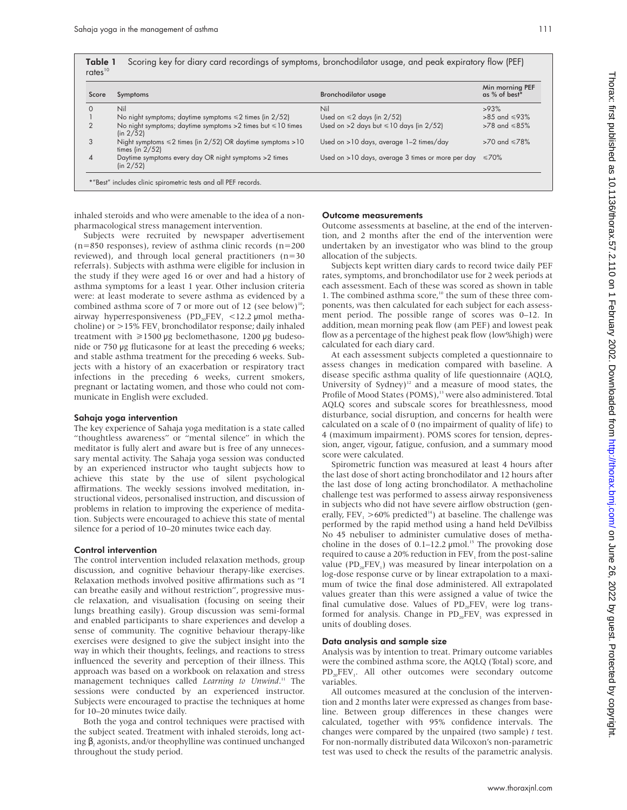| Score    | Symptoms                                                                               | <b>Bronchodilator usage</b>                       | Min morning PEF<br>as % of best* |
|----------|----------------------------------------------------------------------------------------|---------------------------------------------------|----------------------------------|
| $\Omega$ | Nil                                                                                    | Nil                                               | >93%                             |
|          | No night symptoms; daytime symptoms $\leq 2$ times (in 2/52)                           | Used on $\leq 2$ days (in 2/52)                   | $>85$ and $\leq 93\%$            |
| 2        | No night symptoms; daytime symptoms $>2$ times but $\leq 10$ times<br>(in 2/52)        | Used on >2 days but $\leq 10$ days (in 2/52)      | $>78$ and $\leq 85\%$            |
| 3        | Night symptoms $\leq 2$ times (in 2/52) OR daytime symptoms > 10<br>times (in $2/52$ ) | Used on >10 days, average 1-2 times/day           | $>70$ and $\leq 78\%$            |
| 4        | Daytime symptoms every day OR night symptoms > 2 times<br>(in 2/52)                    | Used on >10 days, average 3 times or more per day | ≤70%                             |

inhaled steroids and who were amenable to the idea of a nonpharmacological stress management intervention.

Subjects were recruited by newspaper advertisement (n=850 responses), review of asthma clinic records (n=200 reviewed), and through local general practitioners (n=30 referrals). Subjects with asthma were eligible for inclusion in the study if they were aged 16 or over and had a history of asthma symptoms for a least 1 year. Other inclusion criteria were: at least moderate to severe asthma as evidenced by a combined asthma score of 7 or more out of 12 (see below)<sup>10</sup>; airway hyperresponsiveness (PD<sub>20</sub>FEV<sub>1</sub> <12.2 µmol methacholine) or  $>$ 15% FEV<sub>1</sub> bronchodilator response; daily inhaled treatment with  $\geq$ 1500 µg beclomethasone, 1200 µg budesonide or 750 µg fluticasone for at least the preceding 6 weeks; and stable asthma treatment for the preceding 6 weeks. Subjects with a history of an exacerbation or respiratory tract infections in the preceding 6 weeks, current smokers, pregnant or lactating women, and those who could not communicate in English were excluded.

### Sahaja yoga intervention

The key experience of Sahaja yoga meditation is a state called "thoughtless awareness" or "mental silence" in which the meditator is fully alert and aware but is free of any unnecessary mental activity. The Sahaja yoga session was conducted by an experienced instructor who taught subjects how to achieve this state by the use of silent psychological affirmations. The weekly sessions involved meditation, instructional videos, personalised instruction, and discussion of problems in relation to improving the experience of meditation. Subjects were encouraged to achieve this state of mental silence for a period of 10–20 minutes twice each day.

### Control intervention

The control intervention included relaxation methods, group discussion, and cognitive behaviour therapy-like exercises. Relaxation methods involved positive affirmations such as "I can breathe easily and without restriction", progressive muscle relaxation, and visualisation (focusing on seeing their lungs breathing easily). Group discussion was semi-formal and enabled participants to share experiences and develop a sense of community. The cognitive behaviour therapy-like exercises were designed to give the subject insight into the way in which their thoughts, feelings, and reactions to stress influenced the severity and perception of their illness. This approach was based on a workbook on relaxation and stress management techniques called *Learning to Unwind*. <sup>11</sup> The sessions were conducted by an experienced instructor. Subjects were encouraged to practise the techniques at home for 10–20 minutes twice daily.

Both the yoga and control techniques were practised with the subject seated. Treatment with inhaled steroids, long acting  $\beta_2$  agonists, and/or theophylline was continued unchanged throughout the study period.

#### Outcome measurements

Outcome assessments at baseline, at the end of the intervention, and 2 months after the end of the intervention were undertaken by an investigator who was blind to the group allocation of the subjects.

Subjects kept written diary cards to record twice daily PEF rates, symptoms, and bronchodilator use for 2 week periods at each assessment. Each of these was scored as shown in table 1. The combined asthma score,<sup>10</sup> the sum of these three components, was then calculated for each subject for each assessment period. The possible range of scores was 0–12. In addition, mean morning peak flow (am PEF) and lowest peak flow as a percentage of the highest peak flow (low%high) were calculated for each diary card.

At each assessment subjects completed a questionnaire to assess changes in medication compared with baseline. A disease specific asthma quality of life questionnaire (AQLQ, University of Sydney)<sup>12</sup> and a measure of mood states, the Profile of Mood States (POMS),<sup>13</sup> were also administered. Total AQLQ scores and subscale scores for breathlessness, mood disturbance, social disruption, and concerns for health were calculated on a scale of 0 (no impairment of quality of life) to 4 (maximum impairment). POMS scores for tension, depression, anger, vigour, fatigue, confusion, and a summary mood score were calculated.

Spirometric function was measured at least 4 hours after the last dose of short acting bronchodilator and 12 hours after the last dose of long acting bronchodilator. A methacholine challenge test was performed to assess airway responsiveness in subjects who did not have severe airflow obstruction (generally, FEV<sub>1</sub> >60% predicted<sup>14</sup>) at baseline. The challenge was performed by the rapid method using a hand held DeVilbiss No 45 nebuliser to administer cumulative doses of methacholine in the doses of 0.1–12.2 µmol.<sup>15</sup> The provoking dose required to cause a 20% reduction in  $FEV<sub>1</sub>$  from the post-saline value (PD<sub>20</sub>FEV<sub>1</sub>) was measured by linear interpolation on a log-dose response curve or by linear extrapolation to a maximum of twice the final dose administered. All extrapolated values greater than this were assigned a value of twice the final cumulative dose. Values of  $PD_{20}FEV$ , were log transformed for analysis. Change in  $PD_{20}FEV_1$  was expressed in units of doubling doses.

#### Data analysis and sample size

Analysis was by intention to treat. Primary outcome variables were the combined asthma score, the AQLQ (Total) score, and  $PD_{20}FEV$ . All other outcomes were secondary outcome variables.

All outcomes measured at the conclusion of the intervention and 2 months later were expressed as changes from baseline. Between group differences in these changes were calculated, together with 95% confidence intervals. The changes were compared by the unpaired (two sample) *t* test. For non-normally distributed data Wilcoxon's non-parametric test was used to check the results of the parametric analysis.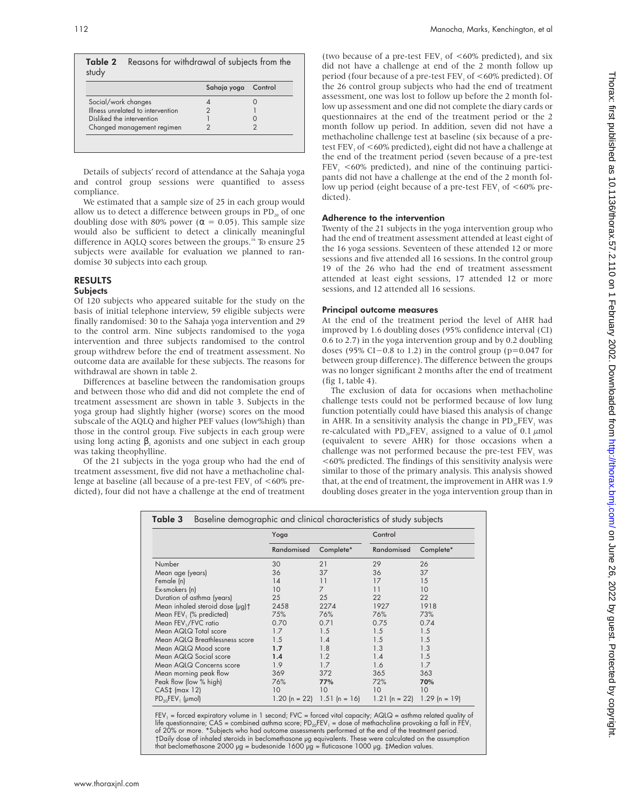|                                   | Sahaja yoga | Control |
|-----------------------------------|-------------|---------|
| Social/work changes               |             |         |
| Illness unrelated to intervention |             |         |
| Disliked the intervention         |             |         |
| Changed management regimen        |             |         |

Details of subjects' record of attendance at the Sahaja yoga and control group sessions were quantified to assess compliance.

We estimated that a sample size of 25 in each group would allow us to detect a difference between groups in  $PD_{20}$  of one doubling dose with 80% power ( $\alpha = 0.05$ ). This sample size would also be sufficient to detect a clinically meaningful difference in AQLQ scores between the groups.<sup>16</sup> To ensure 25 subjects were available for evaluation we planned to randomise 30 subjects into each group.

# RESULTS

### Subjects

Of 120 subjects who appeared suitable for the study on the basis of initial telephone interview, 59 eligible subjects were finally randomised: 30 to the Sahaja yoga intervention and 29 to the control arm. Nine subjects randomised to the yoga intervention and three subjects randomised to the control group withdrew before the end of treatment assessment. No outcome data are available for these subjects. The reasons for withdrawal are shown in table 2.

Differences at baseline between the randomisation groups and between those who did and did not complete the end of treatment assessment are shown in table 3. Subjects in the yoga group had slightly higher (worse) scores on the mood subscale of the AQLQ and higher PEF values (low%high) than those in the control group. Five subjects in each group were using long acting β, agonists and one subject in each group was taking theophylline.

Of the 21 subjects in the yoga group who had the end of treatment assessment, five did not have a methacholine challenge at baseline (all because of a pre-test FEV<sub>1</sub> of  $<60\%$  predicted), four did not have a challenge at the end of treatment

(two because of a pre-test FEV<sub>1</sub> of  $<60\%$  predicted), and six did not have a challenge at end of the 2 month follow up period (four because of a pre-test  $FEV<sub>1</sub>$  of  $<60\%$  predicted). Of the 26 control group subjects who had the end of treatment assessment, one was lost to follow up before the 2 month follow up assessment and one did not complete the diary cards or questionnaires at the end of the treatment period or the 2 month follow up period. In addition, seven did not have a methacholine challenge test at baseline (six because of a pretest FEV<sub>1</sub> of <60% predicted), eight did not have a challenge at the end of the treatment period (seven because of a pre-test  $FEV<sub>1</sub> < 60\%$  predicted), and nine of the continuing participants did not have a challenge at the end of the 2 month follow up period (eight because of a pre-test  $FEV<sub>1</sub>$  of  $<60\%$  predicted).

# Adherence to the intervention

Twenty of the 21 subjects in the yoga intervention group who had the end of treatment assessment attended at least eight of the 16 yoga sessions. Seventeen of these attended 12 or more sessions and five attended all 16 sessions. In the control group 19 of the 26 who had the end of treatment assessment attended at least eight sessions, 17 attended 12 or more sessions, and 12 attended all 16 sessions.

### Principal outcome measures

At the end of the treatment period the level of AHR had improved by 1.6 doubling doses (95% confidence interval (CI) 0.6 to 2.7) in the yoga intervention group and by 0.2 doubling doses (95% CI−0.8 to 1.2) in the control group (p=0.047 for between group difference). The difference between the groups was no longer significant 2 months after the end of treatment (fig 1, table 4).

The exclusion of data for occasions when methacholine challenge tests could not be performed because of low lung function potentially could have biased this analysis of change in AHR. In a sensitivity analysis the change in  $PD_{20}FEV$ <sub>1</sub> was re-calculated with  $PD_{20}FEV_1$  assigned to a value of 0.1  $\mu$ mol (equivalent to severe AHR) for those occasions when a challenge was not performed because the pre-test FEV, was <60% predicted. The findings of this sensitivity analysis were similar to those of the primary analysis. This analysis showed that, at the end of treatment, the improvement in AHR was 1.9 doubling doses greater in the yoga intervention group than in

|                                 | Yoga       |                             | Control         |                 |
|---------------------------------|------------|-----------------------------|-----------------|-----------------|
|                                 | Randomised | Complete*                   | Randomised      | Complete*       |
| Number                          | 30         | 21                          | 29              | 26              |
| Mean age (years)                | 36         | 37                          | 36              | 37              |
| Female (n)                      | 14         | 11                          | 17              | 15              |
| Ex-smokers (n)                  | 10         | 7                           | 11              | 10              |
| Duration of asthma (years)      | 25         | 25                          | 22              | 22              |
| Mean inhaled steroid dose (µg)† | 2458       | 2274                        | 1927            | 1918            |
| Mean FEV, (% predicted)         | 75%        | 76%                         | 76%             | 73%             |
| Mean FEV,/FVC ratio             | 0.70       | 0.71                        | 0.75            | 0.74            |
| Mean AQLQ Total score           | 1.7        | 1.5                         | 1.5             | 1.5             |
| Mean AQLQ Breathlessness score  | 1.5        | 1.4                         | 1.5             | 1.5             |
| Mean AQLQ Mood score            | 1.7        | 1.8                         | 1.3             | 1.3             |
| Mean AQLQ Social score          | 1.4        | 1.2                         | 1.4             | 1.5             |
| Mean AQLQ Concerns score        | 1.9        | 1.7                         | 1.6             | 1.7             |
| Mean morning peak flow          | 369        | 372                         | 365             | 363             |
| Peak flow (low % high)          | 76%        | 77%                         | 72%             | 70%             |
| $CAS+$ (max 12)                 | 10         | 10                          | 10              | 10              |
| $PD_{20}FEV_1$ (µmol)           |            | 1.20 (n = 22) 1.51 (n = 16) | 1.21 $(n = 22)$ | $1.29$ (n = 19) |

 $FEV_1 =$  forced expiratory volume in 1 second; FVC = forced vital capacity; AQLQ = asthma related quality of life questionnaire; CAS = combined asthma score; PD<sub>20</sub>FEV<sub>1</sub> = dose of methacholine provoking a fall in FEV<sub>1</sub><br>of 20% or more. \*Subjects who had outcome assessments performed at the end of the treatment period. †Daily dose of inhaled steroids in beclomethasone µg equivalents. These were calculated on the assumption<br>that beclomethasone 2000 µg = budesonide 1600 µg = fluticasone 1000 µg. ‡Median values.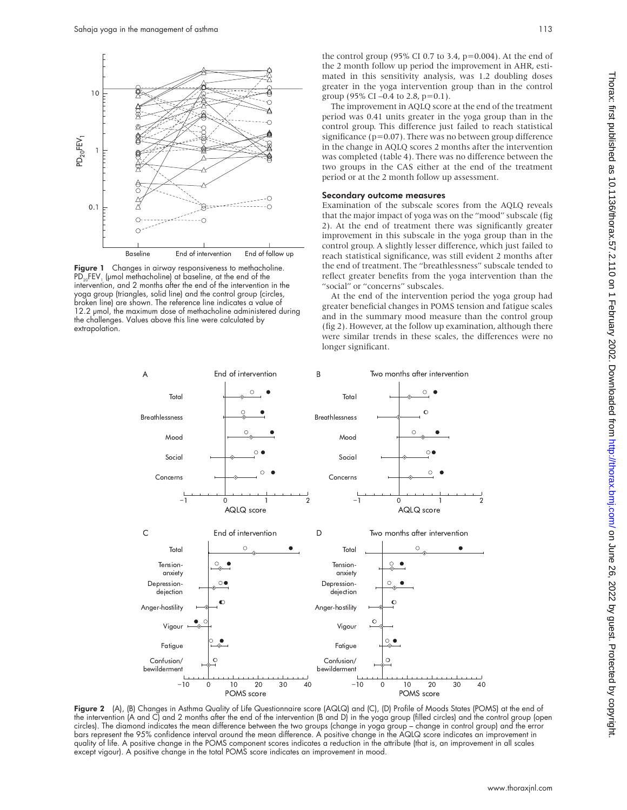

Figure 1 Changes in airway responsiveness to methacholine.  $PD_{20}FEV_1$  (µmol methacholine) at baseline, at the end of the intervention, and 2 months after the end of the intervention in the yoga group (triangles, solid line) and the control group (circles, broken line) are shown. The reference line indicates a value of 12.2 µmol, the maximum dose of methacholine administered during the challenges. Values above this line were calculated by extrapolation.

Thorax: first published as 10.1136/thorax.57.2.110 on 1 February 2002. Downloaded from http://thorax.bmj.com/ on June 26, 2022 by guest. Protected by copyright on June 26, 2022 by guest. Protected by copyright. <http://thorax.bmj.com/> Thorax: first published as 10.1136/thorax.57.2.110 on 1 February 2002. Downloaded from

the control group (95% CI 0.7 to 3.4,  $p=0.004$ ). At the end of the 2 month follow up period the improvement in AHR, estimated in this sensitivity analysis, was 1.2 doubling doses greater in the yoga intervention group than in the control group (95% CI –0.4 to 2.8,  $p=0.1$ ).

The improvement in AQLQ score at the end of the treatment period was 0.41 units greater in the yoga group than in the control group. This difference just failed to reach statistical significance ( $p=0.07$ ). There was no between group difference in the change in AQLQ scores 2 months after the intervention was completed (table 4). There was no difference between the two groups in the CAS either at the end of the treatment period or at the 2 month follow up assessment.

#### Secondary outcome measures

Examination of the subscale scores from the AQLQ reveals that the major impact of yoga was on the "mood" subscale (fig 2). At the end of treatment there was significantly greater improvement in this subscale in the yoga group than in the control group. A slightly lesser difference, which just failed to reach statistical significance, was still evident 2 months after the end of treatment. The "breathlessness" subscale tended to reflect greater benefits from the yoga intervention than the "social" or "concerns" subscales.

At the end of the intervention period the yoga group had greater beneficial changes in POMS tension and fatigue scales and in the summary mood measure than the control group (fig 2). However, at the follow up examination, although there were similar trends in these scales, the differences were no longer significant.



Figure 2 (A), (B) Changes in Asthma Quality of Life Questionnaire score (AQLQ) and (C), (D) Profile of Moods States (POMS) at the end of the intervention (A and C) and 2 months after the end of the intervention (B and D) in the yoga group (filled circles) and the control group (open circles). The diamond indicates the mean difference between the two groups (change in yoga group – change in control group) and the error bars represent the 95% confidence interval around the mean difference. A positive change in the AQLQ score indicates an improvement in quality of life. A positive change in the POMS component scores indicates a reduction in the attribute (that is, an improvement in all scales except vigour). A positive change in the total POMS score indicates an improvement in mood.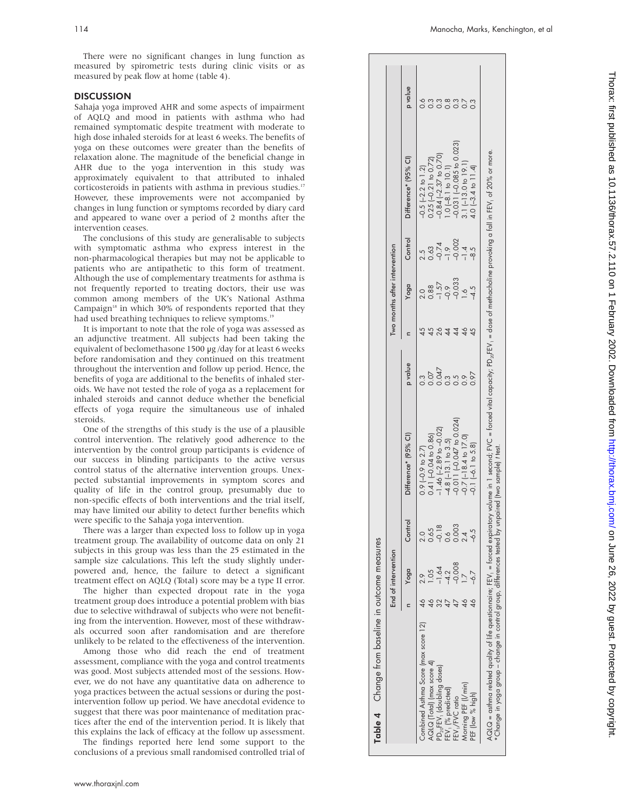There were no significant changes in lung function as measured by spirometric tests during clinic visits or as measured by peak flow at home (table 4).

### **DISCUSSION**

Sahaja yoga improved AHR and some aspects of impairment of AQLQ and mood in patients with asthma who had remained symptomatic despite treatment with moderate to high dose inhaled steroids for at least 6 weeks. The benefits of yoga on these outcomes were greater than the benefits of relaxation alone. The magnitude of the beneficial change in AHR due to the yoga intervention in this study was approximately equivalent to that attributed to inhaled corticosteroids in patients with asthma in previous studies.<sup>17</sup> However, these improvements were not accompanied by changes in lung function or symptoms recorded by diary card and appeared to wane over a period of 2 months after the intervention ceases.

The conclusions of this study are generalisable to subjects with symptomatic asthma who express interest in the non-pharmacological therapies but may not be applicable to patients who are antipathetic to this form of treatment. Although the use of complementary treatments for asthma is not frequently reported to treating doctors, their use was common among members of the UK's National Asthma Campaign $18$  in which 30% of respondents reported that they had used breathing techniques to relieve symptoms.<sup>1</sup>

It is important to note that the role of yoga was assessed as an adjunctive treatment. All subjects had been taking the equivalent of beclomethasone 1500 µg /day for at least 6 weeks before randomisation and they continued on this treatment throughout the intervention and follow up period. Hence, the benefits of yoga are additional to the benefits of inhaled steroids. We have not tested the role of yoga as a replacement for inhaled steroids and cannot deduce whether the beneficial effects of yoga require the simultaneous use of inhaled steroids.

One of the strengths of this study is the use of a plausible control intervention. The relatively good adherence to the intervention by the control group participants is evidence of our success in blinding participants to the active versus control status of the alternative intervention groups. Unexpected substantial improvements in symptom scores and quality of life in the control group, presumably due to non-specific effects of both interventions and the trial itself, may have limited our ability to detect further benefits which were specific to the Sahaja yoga intervention.

There was a larger than expected loss to follow up in yoga treatment group. The availability of outcome data on only 21 subjects in this group was less than the 25 estimated in the sample size calculations. This left the study slightly underpowered and, hence, the failure to detect a significant treatment effect on AQLQ (Total) score may be a type II error.

The higher than expected dropout rate in the yoga treatment group does introduce a potential problem with bias due to selective withdrawal of subjects who were not benefiting from the intervention. However, most of these withdrawals occurred soon after randomisation and are therefore unlikely to be related to the effectiveness of the intervention.

Among those who did reach the end of treatment assessment, compliance with the yoga and control treatments was good. Most subjects attended most of the sessions. However, we do not have any quantitative data on adherence to yoga practices between the actual sessions or during the postintervention follow up period. We have anecdotal evidence to suggest that there was poor maintenance of meditation practices after the end of the intervention period. It is likely that this explains the lack of efficacy at the follow up assessment.

The findings reported here lend some support to the conclusions of a previous small randomised controlled trial of

|                                      | End of intervention |               |                                 |                               |    | Two months after intervention |                                                |                             |                |
|--------------------------------------|---------------------|---------------|---------------------------------|-------------------------------|----|-------------------------------|------------------------------------------------|-----------------------------|----------------|
|                                      | Yoga                | Control       | Difference* (95% Cl)            | p value                       |    | Yoga                          | Control                                        | Difference* (95% Cl)        | p value        |
| Combined Asthma Score (max score 12) |                     |               | $0.9$ (-0.9 to 2.7)             | .<br>თ                        |    | 0.5 <sub>0</sub>              |                                                | $-0.5$ $(-2.2)$ to $1.2$    |                |
| AQLQ [Total] (max score 4)           |                     | 0.65          | 0.41 $(-0.04 \text{ to } 0.86)$ |                               |    | 0.88                          | 2.5<br>0.63<br>0.674<br>0.774<br>0.774<br>0.78 | $0.25$ (-0.21 to 0.72)      |                |
| $PD_{20}$ FEV, (doubling doses)      | 1.64                | $-0.18$       | $-1.46$ $(-2.89$ to $-0.02)$    | $0.047$<br>$0.047$<br>$0.000$ | 26 | $\frac{-1.57}{-0.9}$          |                                                | $-0.84$ $(-2.37$ to 0.70)   | $\overline{0}$ |
| -EV, (% predicted)                   | $\overline{4.2}$    | $\frac{6}{2}$ | $-4.8$ $[-13.1$ to 3.5          |                               |    |                               |                                                | $.0[-8.1 \text{ to } 10.1]$ |                |
| FEV,/FVC ratio                       | 0.008               | 0.003         | $-0.011(-0.047)$ to 0.024)      |                               |    |                               |                                                | $0.031 (-0.085)$ to $0.023$ |                |
| Morning PEF (I/min)                  |                     |               | $-0.7$ ( $-18.4$ to $17.0$ )    |                               |    | $\frac{1}{2}$                 |                                                | $3.1$ (-13.0 to 19.1)       |                |
| PEF (low % high)                     | $-6.7$              | $-6.5$        | $-0.1$ $(-6.1$ to 5.8           |                               |    | $-4.5$                        |                                                | $(4.0 (-3.4 to 11.4))$      |                |